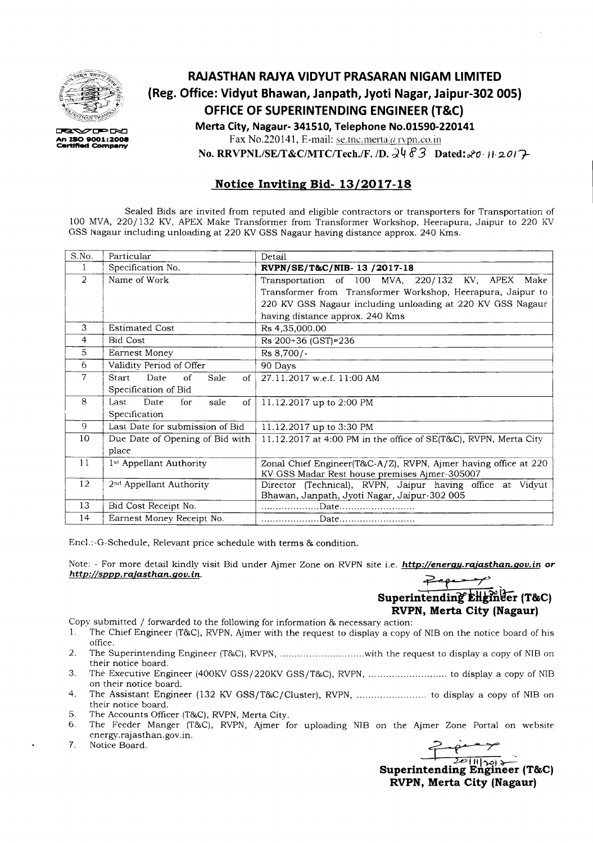

**ERXXZIED ENT An ISO 8001:2008 c:art:If'Ied Com.,.ny**

## **RAJASTHAN RAJYA VIDYUT PRASARAN NIGAM LIMITED (Reg. Office: Vidyut Bhawan, Janpath, Jyoti Nagar, Jaipur-302 005) OFFICE OF SUPERINTENDING ENGINEER (T&C} Merta City, Nagaur- 341510, Telephone No.01590-220141**

Fax No.220141, E-mail: se.tnc.merta@rvpn.co.in

**No. RRVPNL/SE/T&C/MTC/Tech./F. /D.**  $\frac{\partial \Psi}{\partial 3}$  **Dated:**  $\frac{\partial \sigma}{\partial 1}$  *11:2017* 

### **Notice Inviting Bid- 13/2017-18**

Sealed Bids are invited from reputed and eligible contractors or transporters for Transportation of 100 MVA,220/132 KV, APEX Make Transformer from Transformer Workshop, Heerapura, Jaipur to 220 KV GSS Nagaur including unloading at 220 KVGSS Nagaur having distance approx. 240 Kms.

| S.No.          | Particular                          | Detail                                                           |  |  |  |  |
|----------------|-------------------------------------|------------------------------------------------------------------|--|--|--|--|
| 1              | Specification No.                   | RVPN/SE/T&C/NIB-13 /2017-18                                      |  |  |  |  |
| $\overline{2}$ | Name of Work                        | Transportation of 100 MVA, 220/132 KV, APEX Make                 |  |  |  |  |
|                |                                     | Transformer from Transformer Workshop, Heerapura, Jaipur to      |  |  |  |  |
|                |                                     | 220 KV GSS Nagaur including unloading at 220 KV GSS Nagaur       |  |  |  |  |
|                |                                     | having distance approx. 240 Kms                                  |  |  |  |  |
| 3              | <b>Estimated Cost</b>               | Rs 4,35,000.00                                                   |  |  |  |  |
| 4              | <b>Bid Cost</b>                     | Rs 200+36 (GST)=236                                              |  |  |  |  |
| 5              | Earnest Money                       | Rs 8,700/-                                                       |  |  |  |  |
| 6              | Validity Period of Offer            | 90 Days                                                          |  |  |  |  |
| $\overline{7}$ | Start<br>Date<br>of<br>Sale<br>of   | 27.11.2017 w.e.f. 11:00 AM                                       |  |  |  |  |
|                | Specification of Bid                |                                                                  |  |  |  |  |
| 8              | Date<br>for<br>Last<br>sale<br>of   | 11.12.2017 up to 2:00 PM                                         |  |  |  |  |
|                | Specification                       |                                                                  |  |  |  |  |
| 9              | Last Date for submission of Bid     | 11.12.2017 up to 3:30 PM                                         |  |  |  |  |
| 10             | Due Date of Opening of Bid with     | 11.12.2017 at 4:00 PM in the office of SE(T&C), RVPN, Merta City |  |  |  |  |
|                | place                               |                                                                  |  |  |  |  |
| 11             | 1st Appellant Authority             | Zonal Chief Engineer(T&C-A/Z), RVPN, Ajmer having office at 220  |  |  |  |  |
|                |                                     | KV GSS Madar Rest house premises Ajmer-305007                    |  |  |  |  |
| 12             | 2 <sup>nd</sup> Appellant Authority | Director (Technical), RVPN, Jaipur having office at Vidyut       |  |  |  |  |
|                |                                     | Bhawan, Janpath, Jyoti Nagar, Jaipur-302 005                     |  |  |  |  |
| 13             | Bid Cost Receipt No.                |                                                                  |  |  |  |  |
| 14             | Earnest Money Receipt No.           |                                                                  |  |  |  |  |

Encl.:-G-Schedule, Relevant price schedule with terms & condition.

Note: - For more detail kindly visit Bid under Ajmer Zone on RVPN site i.e. *http://energy.rajasthan.gov.in* or *http://sppp.rajasthan.gov.in.* 

## Superintending EHginger (T&C) **RVPN, Merta City (Nagaur)**

Copy submitted / forwarded to the following for information  $\&$  necessary action:<br>1. The Chief Engineer (T&C), RVPN, Aimer with the request to display a copy

- The Chief Engineer (T&C), RVPN, Ajmer with the request to display a copy of NIB on the notice board of his office.
- 2. The Superintending Engineer (T&C), RVPN, ..............................with the request to display a copy of NIB on their notice board.
- 3. The Executive Engineer (400KVGSS/220KV GSS/T&C), RVPN, to display a copy of NIB on their notice board.
- 4. The Assistant Engineer (132 KV GSS/T&C/Cluster), RVPN, to display a copy of NIB on their notice board.
- 5. The Accounts Officer (T&C), RVPN, Merta City.<br>6. The Feeder Manger (T&C), RVPN, Ajmer fo
- 6. The Feeder Manger (T&C), RVPN, Ajmer for uploading NIB on the Ajmer Zone Portal on website energy.rajasthan.gov.in.<br>Notice Board. energy.rajasthan.gov.in.<br>
7. Notice Board.<br>
2<sup>20</sup> | 11 | 2<sup>20</sup> | 11 | 22<sup>0</sup> | 11 | 22<sup>0</sup> | 11 | 22<sup>0</sup> | 11 | 22<sup>0</sup> | 11 | 22<sup>0</sup> | 11 | 22<sup>0</sup> | 11 | 22<sup>0</sup> | 11 | 22<sup>0</sup> | 11 | 22<sup>0</sup> | 11 | 22<sup>0</sup> | 11 | 22<sup>0</sup> | 11 | 22<sup>0</sup> | 1
- 

**Superintending Engineer (T&C) RVPN, Merta City (Nagaur)**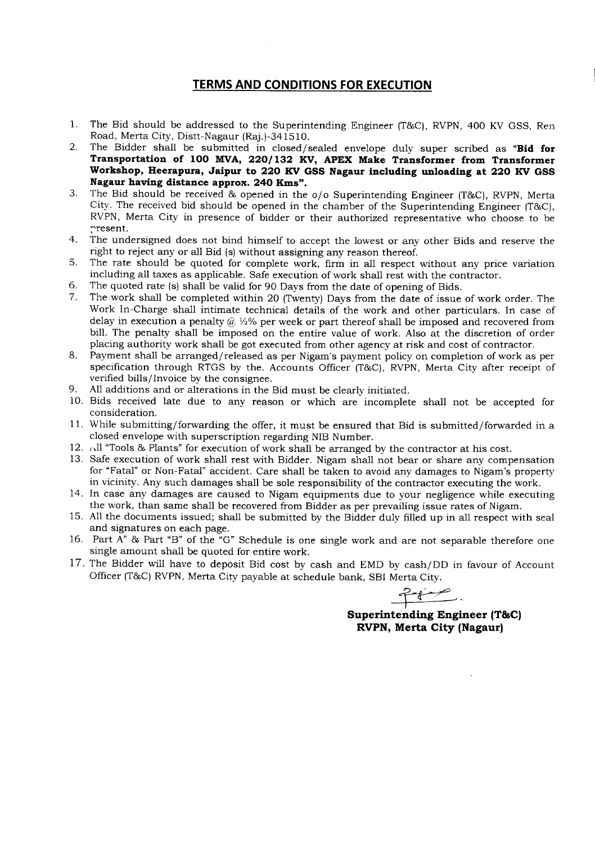### **TERMS AND CONDITIONS FOR EXECUTION**

- 1. The Bid should be addressed to the Superintending Engineer (T&C), RVPN, 400 KV GSS, Ren Road, Merta City, Distt-Nagaur (Raj.)-341510.
- 2. The Bidder shall be submitted in closed/ sealed envelope duly super scribed as **"Bid for Transportation of 100 MVA, 220/132 KV, APEX Make Transformer from Transformer Workshop, Heerapura, Jaipur to 220 KV GSS Nagaur including unloading at 220 KV GSS Nagaur having distance approx. 240 Kms".**
- 3. The Bid should be received & opened in the  $\sigma/\sigma$  Superintending Engineer (T&C), RVPN, Merta City. The received bid should be opened in the chamber of the Superintending Engineer (T&C), RVPN, Merta City in presence of bidder or their authorized representative who choose to be resent.
- 4. The undersigned does not bind himself to accept the lowest or any other Bids and reserve the right to reject any or all Bid (s) without assigning any reason thereof.
- 5. The rate should be quoted for complete work, firm in all respect without any price variation including all taxes as applicable. Safe execution of work shall rest with the contractor.
- 6. The quoted rate (s) shall be valid for 90 Days from the date of opening of Bids.
- 7. The work shall be completed within 20 (Twenty) Days from the date of issue of work order. The Work In-Charge shall intimate technical details of the work and other particulars. In case of delay in execution a penalty @ *V2%* per week or part thereof shall be imposed and recovered from bill. The penalty shall be imposed on the entire value of work. Also at the discretion of order placing authority work shall be got executed from other agency at risk and cost of contractor.
- 8. Payment shall be arranged/released as per Nigam's payment policy on completion of work as per specification through RTGS by the. Accounts Officer  $(T&C)$ , RVPN, Merta City after receipt of verified bills/ Invoice by the consignee.
- 9. All additions and or alterations in the Bid must be clearly initiated.
- 10. Bids received late due to any reason or which are incomplete shall not be accepted for consideration.
- 11. While submitting/forwarding the offer, it must be ensured that Bid is submitted/forwarded in a closed envelope with superscription regarding NIB Number.
- 12. All "Tools & Plants" for execution of work shall be arranged by the contractor at his cost.
- 13. Safe execution of work shall rest with Bidder. Nigam shall not bear or share any compensation for "Fatal" or Non-Fatal" accident. Care shall be taken to avoid any damages to Nigam's property in vicinity. Any such damages shall be sole responsibility of the contractor executing the work.
- 14. In case any damages are caused to Nigam equipments due to your negligence while executing the work, than same shall be recovered from Bidder as per prevailing issue rates of Nigam.
- 15. All the documents issued; shall be submitted by the Bidder duly filled up in all respect with seal and signatures on each page.
- 16. Part A"  $\&$  Part "B" of the "G" Schedule is one single work and are not separable therefore one single amount shall be quoted for entire work.
- 17. The Bidder will have to deposit Bid cost by cash and EMD by cash/DD in favour of Account Officer (T&C) RVPN, Merta City payable at schedule bank, SBI Merta City.

<u> 2000</u>

**Superintending Engineer (T&C) RVPN, Merta City (Nagaur)**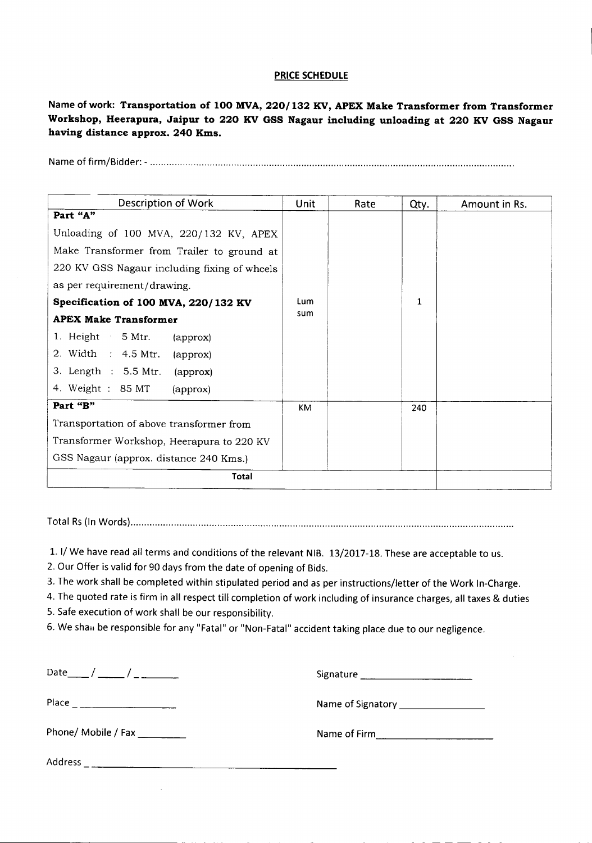#### PRICE SCHEDULE

Name of work: Transportation of 100 MVA, 220/132 KV, APEX Make Transformer from Transformer Workshop, Heerapura, Jaipur to 220 KV GSS Nagaur including unloading at 220 KV GSS Nagaur having distance approx. 240 Kms.

Name of firm/Bidder: - .

| Description of Work                          | Unit | Rate | Qty. | Amount in Rs. |  |
|----------------------------------------------|------|------|------|---------------|--|
| Part "A"                                     |      |      |      |               |  |
| Unloading of 100 MVA, 220/132 KV, APEX       |      |      |      |               |  |
| Make Transformer from Trailer to ground at   |      |      |      |               |  |
| 220 KV GSS Nagaur including fixing of wheels |      |      |      |               |  |
| as per requirement/drawing.                  |      |      |      |               |  |
| Specification of 100 MVA, 220/132 KV         | Lum  |      | 1    |               |  |
| <b>APEX Make Transformer</b>                 | sum  |      |      |               |  |
| 1. Height 5 Mtr.<br>(approx)                 |      |      |      |               |  |
| 2. Width : 4.5 Mtr.<br>(approx)              |      |      |      |               |  |
| 3. Length : 5.5 Mtr.<br>(approx)             |      |      |      |               |  |
| 4. Weight : 85 MT<br>(approx)                |      |      |      |               |  |
| Part "B"                                     | KM   |      | 240  |               |  |
| Transportation of above transformer from     |      |      |      |               |  |
| Transformer Workshop, Heerapura to 220 KV    |      |      |      |               |  |
| GSS Nagaur (approx. distance 240 Kms.)       |      |      |      |               |  |
| Total                                        |      |      |      |               |  |

Total Rs (In Words} .

1. 1/ We have read all terms and conditions of the relevant NIB. 13/2017-18.These are acceptable to us.

- 2. Our Offer is valid for 90 days from the date of opening of Bids.
- 3. The work shall be completed within stipulated period and as per instructions/letter of the Work In-Charge.

4. The quoted rate is firm in all respect till completion of work including of insurance charges, all taxes & duties

5. Safe execution of work shall be our responsibility.

6. We shall be responsible for any "Fatal" or "Non-Fatal" accident taking place due to our negligence.

Date\_\_ / \_\_ / \_ Signature \_

--------------- - - - - - - - - -

Place Name of Signatory \_

Phone/ Mobile / Fax \_ Name of Firm, \_

Address